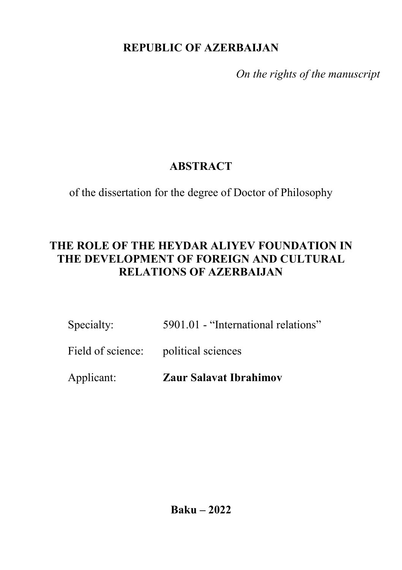## **REPUBLIC OF AZERBAIJAN**

*On the rights of the manuscript*

# **ABSTRACT**

of the dissertation for the degree of Doctor of Philosophy

## **THE ROLE OF THE HEYDAR ALIYEV FOUNDATION IN THE DEVELOPMENT OF FOREIGN AND CULTURAL RELATIONS OF AZERBAIJAN**

| Specialty: | 5901.01 - "International relations" |
|------------|-------------------------------------|
|------------|-------------------------------------|

## Field of science: political sciences

Applicant: **Zaur Salavat Ibrahimov**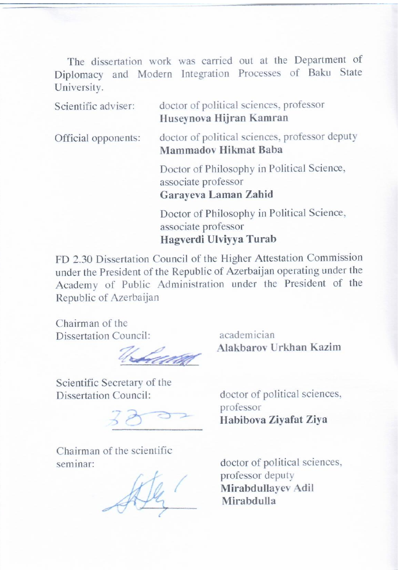The dissertation work was carried out at the Department of Diplomacy and Modern Integration Processes of Baku State  $S<sub>H</sub>$  and  $S<sub>H</sub>$  sciences, professor of political sciences, professor of political sciences, professor of political sciences,  $S<sub>H</sub>$  and  $S<sub>H</sub>$  and  $S<sub>H</sub>$  and  $S<sub>H</sub>$  and  $S<sub>H</sub>$  and  $S<sub>H</sub>$  and  $S$ 

|  | Scientific adviser: | doctor of political sciences, professor<br>Huseynova Hijran Kamran                                                                                                                                                             |
|--|---------------------|--------------------------------------------------------------------------------------------------------------------------------------------------------------------------------------------------------------------------------|
|  | Official opponents: | doctor of political sciences, professor deputy<br><b>Mammadov Hikmat Baba</b>                                                                                                                                                  |
|  |                     | Doctor of Philosophy in Political Science,<br>associate professor<br>Garayeva Laman Zahid                                                                                                                                      |
|  |                     | Doctor of Philosophy in Political Science,<br>associate professor<br>Hagverdi Ulviyya Turab                                                                                                                                    |
|  |                     | and the control of the control of the control of the control of the control of the control of the control of the control of the control of the control of the control of the control of the control of the control of the cont |

FD 2.30 Dissertation Council of the Higher Attestation Commission under the President of the Republic of Azerbaijan operating under the Academy of Public Administration under the President of the Republic of Azerbaijan

Chairman of the Dissertation Council: academician

Scientific Secretary of the Dissertation Council: doctor of political sciences,

Chairman of the scientific seminar: doctor of political sciences,

**\_\_\_\_\_\_\_\_\_\_\_\_ Alakbarov Urkhan Kazim** 

professor **\_\_\_\_\_\_\_\_\_\_\_\_ Habibova Ziyafat Ziya**

professor deputy **Mirabdullayev Adil \_\_\_\_\_\_\_\_\_\_\_\_ Mirabdulla**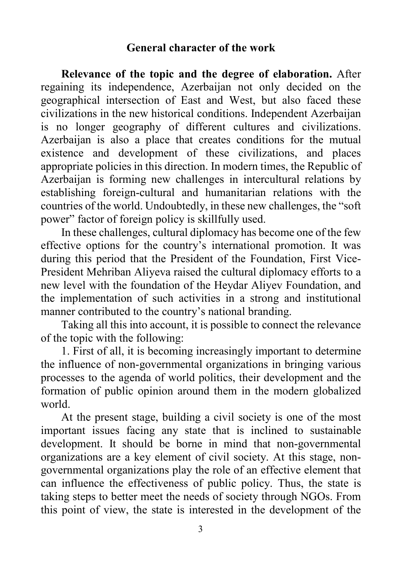#### **General character of the work**

**Relevance of the topic and the degree of elaboration.** After regaining its independence, Azerbaijan not only decided on the geographical intersection of East and West, but also faced these civilizations in the new historical conditions. Independent Azerbaijan is no longer geography of different cultures and civilizations. Azerbaijan is also a place that creates conditions for the mutual existence and development of these civilizations, and places appropriate policies in this direction. In modern times, the Republic of Azerbaijan is forming new challenges in intercultural relations by establishing foreign-cultural and humanitarian relations with the countries of the world. Undoubtedly, in these new challenges, the "soft power" factor of foreign policy is skillfully used.

In these challenges, cultural diplomacy has become one of the few effective options for the country's international promotion. It was during this period that the President of the Foundation, First Vice-President Mehriban Aliyeva raised the cultural diplomacy efforts to a new level with the foundation of the Heydar Aliyev Foundation, and the implementation of such activities in a strong and institutional manner contributed to the country's national branding.

Taking all this into account, it is possible to connect the relevance of the topic with the following:

1. First of all, it is becoming increasingly important to determine the influence of non-governmental organizations in bringing various processes to the agenda of world politics, their development and the formation of public opinion around them in the modern globalized world.

At the present stage, building a civil society is one of the most important issues facing any state that is inclined to sustainable development. It should be borne in mind that non-governmental organizations are a key element of civil society. At this stage, nongovernmental organizations play the role of an effective element that can influence the effectiveness of public policy. Thus, the state is taking steps to better meet the needs of society through NGOs. From this point of view, the state is interested in the development of the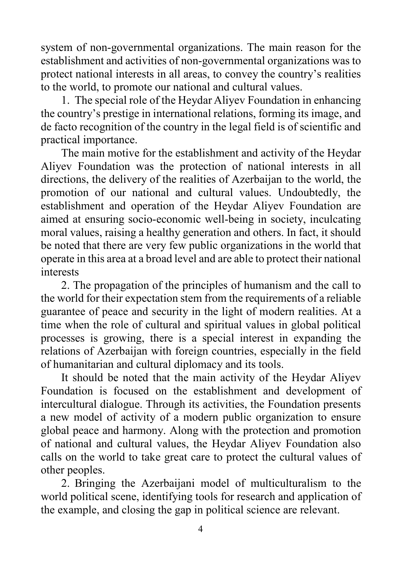system of non-governmental organizations. The main reason for the establishment and activities of non-governmental organizations was to protect national interests in all areas, to convey the country's realities to the world, to promote our national and cultural values.

1. The special role of the Heydar Aliyev Foundation in enhancing the country's prestige in international relations, forming its image, and de facto recognition of the country in the legal field is of scientific and practical importance.

The main motive for the establishment and activity of the Heydar Aliyev Foundation was the protection of national interests in all directions, the delivery of the realities of Azerbaijan to the world, the promotion of our national and cultural values. Undoubtedly, the establishment and operation of the Heydar Aliyev Foundation are aimed at ensuring socio-economic well-being in society, inculcating moral values, raising a healthy generation and others. In fact, it should be noted that there are very few public organizations in the world that operate in this area at a broad level and are able to protect their national interests

2. The propagation of the principles of humanism and the call to the world for their expectation stem from the requirements of a reliable guarantee of peace and security in the light of modern realities. At a time when the role of cultural and spiritual values in global political processes is growing, there is a special interest in expanding the relations of Azerbaijan with foreign countries, especially in the field of humanitarian and cultural diplomacy and its tools.

It should be noted that the main activity of the Heydar Aliyev Foundation is focused on the establishment and development of intercultural dialogue. Through its activities, the Foundation presents a new model of activity of a modern public organization to ensure global peace and harmony. Along with the protection and promotion of national and cultural values, the Heydar Aliyev Foundation also calls on the world to take great care to protect the cultural values of other peoples.

2. Bringing the Azerbaijani model of multiculturalism to the world political scene, identifying tools for research and application of the example, and closing the gap in political science are relevant.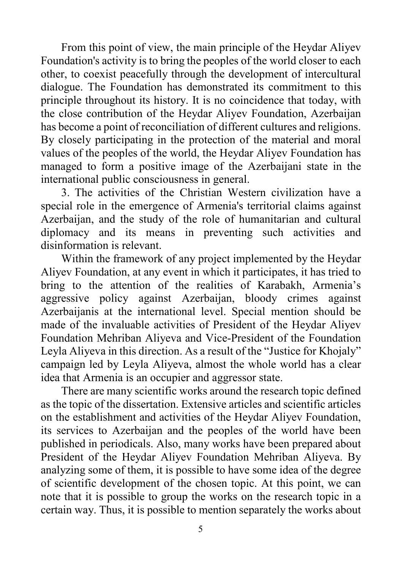From this point of view, the main principle of the Heydar Aliyev Foundation's activity is to bring the peoples of the world closer to each other, to coexist peacefully through the development of intercultural dialogue. The Foundation has demonstrated its commitment to this principle throughout its history. It is no coincidence that today, with the close contribution of the Heydar Aliyev Foundation, Azerbaijan has become a point of reconciliation of different cultures and religions. By closely participating in the protection of the material and moral values of the peoples of the world, the Heydar Aliyev Foundation has managed to form a positive image of the Azerbaijani state in the international public consciousness in general.

3. The activities of the Christian Western civilization have a special role in the emergence of Armenia's territorial claims against Azerbaijan, and the study of the role of humanitarian and cultural diplomacy and its means in preventing such activities and disinformation is relevant.

Within the framework of any project implemented by the Heydar Aliyev Foundation, at any event in which it participates, it has tried to bring to the attention of the realities of Karabakh, Armenia's aggressive policy against Azerbaijan, bloody crimes against Azerbaijanis at the international level. Special mention should be made of the invaluable activities of President of the Heydar Aliyev Foundation Mehriban Aliyeva and Vice-President of the Foundation Leyla Aliyeva in this direction. As a result of the "Justice for Khojaly" campaign led by Leyla Aliyeva, almost the whole world has a clear idea that Armenia is an occupier and aggressor state.

There are many scientific works around the research topic defined as the topic of the dissertation. Extensive articles and scientific articles on the establishment and activities of the Heydar Aliyev Foundation, its services to Azerbaijan and the peoples of the world have been published in periodicals. Also, many works have been prepared about President of the Heydar Aliyev Foundation Mehriban Aliyeva. By analyzing some of them, it is possible to have some idea of the degree of scientific development of the chosen topic. At this point, we can note that it is possible to group the works on the research topic in a certain way. Thus, it is possible to mention separately the works about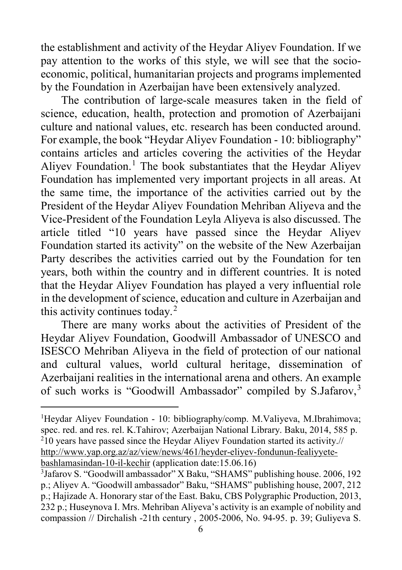the establishment and activity of the Heydar Aliyev Foundation. If we pay attention to the works of this style, we will see that the socioeconomic, political, humanitarian projects and programs implemented by the Foundation in Azerbaijan have been extensively analyzed.

The contribution of large-scale measures taken in the field of science, education, health, protection and promotion of Azerbaijani culture and national values, etc. research has been conducted around. For example, the book "Heydar Aliyev Foundation - 10: bibliography" contains articles and articles covering the activities of the Heydar Aliyev Foundation. [1](#page-5-0) The book substantiates that the Heydar Aliyev Foundation has implemented very important projects in all areas. At the same time, the importance of the activities carried out by the President of the Heydar Aliyev Foundation Mehriban Aliyeva and the Vice-President of the Foundation Leyla Aliyeva is also discussed. The article titled "10 years have passed since the Heydar Aliyev Foundation started its activity" on the website of the New Azerbaijan Party describes the activities carried out by the Foundation for ten years, both within the country and in different countries. It is noted that the Heydar Aliyev Foundation has played a very influential role in the development of science, education and culture in Azerbaijan and this activity continues today. [2](#page-5-1)

There are many works about the activities of President of the Heydar Aliyev Foundation, Goodwill Ambassador of UNESCO and ISESCO Mehriban Aliyeva in the field of protection of our national and cultural values, world cultural heritage, dissemination of Azerbaijani realities in the international arena and others. An example of such works is "Goodwill Ambassador" compiled by S.Jafarov,<sup>[3](#page-5-2)</sup>

<span id="page-5-0"></span> $\frac{1}{1}$ <sup>1</sup>Heydar Aliyev Foundation - 10: bibliography/comp. M.Valiyeva, M.Ibrahimova; spec. red. and res. rel. K.Tahirov; Azerbaijan National Library. Baku, 2014, 585 p.  $^{2}$ 10 years have passed since the Heydar Aliyev Foundation started its activity.// [http://www.yap.org.az/az/view/news/461/heyder-eliyev-fondunun-fealiyyete](http://www.yap.org.az/az/view/news/461/heyder-eliyev-fondunun-fealiyyete-bashlamasindan-10-il-kechir)[bashlamasindan-10-il-kechir](http://www.yap.org.az/az/view/news/461/heyder-eliyev-fondunun-fealiyyete-bashlamasindan-10-il-kechir) (application date:15.06.16)

<span id="page-5-2"></span><span id="page-5-1"></span><sup>3</sup> Jafarov S. "Goodwill ambassador" X Baku, "SHAMS" publishing house. 2006, 192 p.; Aliyev A. "Goodwill ambassador" Baku, "SHAMS" publishing house, 2007, 212 p.; Hajizade A. Honorary star of the East. Baku, CBS Polygraphic Production, 2013, 232 p.; Huseynova I. Mrs. Mehriban Aliyeva's activity is an example of nobility and compassion // Dirchalish -21th century , 2005-2006, No. 94-95. p. 39; Guliyeva S.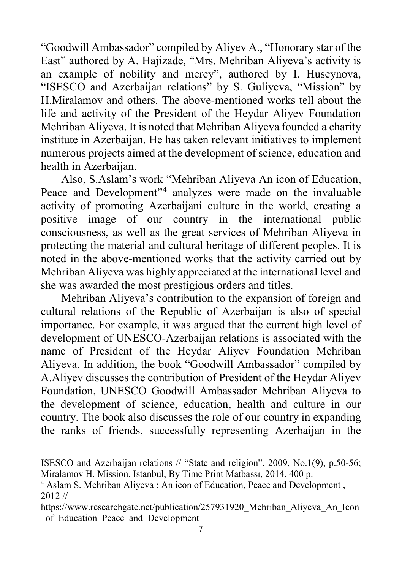"Goodwill Ambassador" compiled by Aliyev A., "Honorary star of the East" authored by A. Hajizade, "Mrs. Mehriban Aliyeva's activity is an example of nobility and mercy", authored by I. Huseynova, "ISESCO and Azerbaijan relations" by S. Guliyeva, "Mission" by H.Miralamov and others. The above-mentioned works tell about the life and activity of the President of the Heydar Aliyev Foundation Mehriban Aliyeva. It is noted that Mehriban Aliyeva founded a charity institute in Azerbaijan. He has taken relevant initiatives to implement numerous projects aimed at the development of science, education and health in Azerbaijan.

Also, S.Aslam's work "Mehriban Aliyeva An icon of Education, Peace and Development"[4](#page-6-0) analyzes were made on the invaluable activity of promoting Azerbaijani culture in the world, creating a positive image of our country in the international public consciousness, as well as the great services of Mehriban Aliyeva in protecting the material and cultural heritage of different peoples. It is noted in the above-mentioned works that the activity carried out by Mehriban Aliyeva was highly appreciated at the international level and she was awarded the most prestigious orders and titles.

Mehriban Aliyeva's contribution to the expansion of foreign and cultural relations of the Republic of Azerbaijan is also of special importance. For example, it was argued that the current high level of development of UNESCO-Azerbaijan relations is associated with the name of President of the Heydar Aliyev Foundation Mehriban Aliyeva. In addition, the book "Goodwill Ambassador" compiled by A.Aliyev discusses the contribution of President of the Heydar Aliyev Foundation, UNESCO Goodwill Ambassador Mehriban Aliyeva to the development of science, education, health and culture in our country. The book also discusses the role of our country in expanding the ranks of friends, successfully representing Azerbaijan in the

ISESCO and Azerbaijan relations // "State and religion". 2009, No.1(9), p.50-56; Miralamov H. Mission. Istanbul, By Time Print Matbassı, 2014, 400 p.

<span id="page-6-0"></span><sup>4</sup> Aslam S. Mehriban Aliyeva : An icon of Education, Peace and Development , 2012 //

https://www.researchgate.net/publication/257931920\_Mehriban\_Aliyeva\_An\_Icon \_of\_Education\_Peace\_and\_Development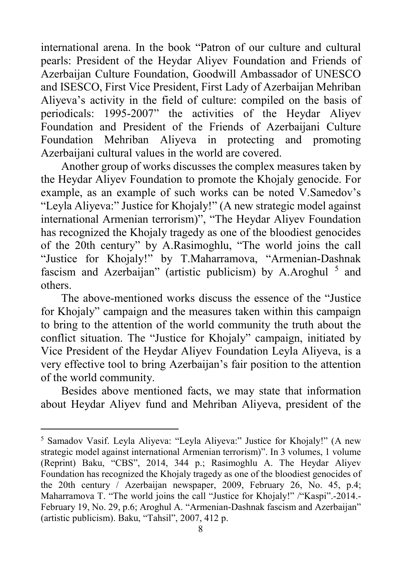international arena. In the book "Patron of our culture and cultural pearls: President of the Heydar Aliyev Foundation and Friends of Azerbaijan Culture Foundation, Goodwill Ambassador of UNESCO and ISESCO, First Vice President, First Lady of Azerbaijan Mehriban Aliyeva's activity in the field of culture: compiled on the basis of periodicals: 1995-2007" the activities of the Heydar Aliyev Foundation and President of the Friends of Azerbaijani Culture Foundation Mehriban Aliyeva in protecting and promoting Azerbaijani cultural values in the world are covered.

Another group of works discusses the complex measures taken by the Heydar Aliyev Foundation to promote the Khojaly genocide. For example, as an example of such works can be noted V.Samedov's "Leyla Aliyeva:" Justice for Khojaly!" (A new strategic model against international Armenian terrorism)", "The Heydar Aliyev Foundation has recognized the Khojaly tragedy as one of the bloodiest genocides of the 20th century" by A.Rasimoghlu, "The world joins the call "Justice for Khojaly!" by T.Maharramova, "Armenian-Dashnak fascism and Azerbaijan" (artistic publicism) by A.Aroghul  $<sup>5</sup>$  $<sup>5</sup>$  $<sup>5</sup>$  and</sup> others.

The above-mentioned works discuss the essence of the "Justice for Khojaly" campaign and the measures taken within this campaign to bring to the attention of the world community the truth about the conflict situation. The "Justice for Khojaly" campaign, initiated by Vice President of the Heydar Aliyev Foundation Leyla Aliyeva, is a very effective tool to bring Azerbaijan's fair position to the attention of the world community.

Besides above mentioned facts, we may state that information about Heydar Aliyev fund and Mehriban Aliyeva, president of the

<span id="page-7-0"></span> <sup>5</sup> Samadov Vasif. Leyla Aliyeva: "Leyla Aliyeva:" Justice for Khojaly!" (A new strategic model against international Armenian terrorism)". In 3 volumes, 1 volume (Reprint) Baku, "CBS", 2014, 344 p.; Rasimoghlu A. The Heydar Aliyev Foundation has recognized the Khojaly tragedy as one of the bloodiest genocides of the 20th century / Azerbaijan newspaper, 2009, February 26, No. 45, p.4; Maharramova T. "The world joins the call "Justice for Khojaly!" /"Kaspi".-2014.- February 19, No. 29, p.6; Aroghul A. "Armenian-Dashnak fascism and Azerbaijan" (artistic publicism). Baku, "Tahsil", 2007, 412 p.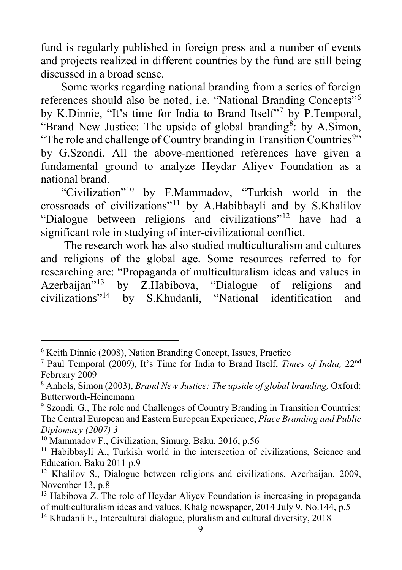fund is regularly published in foreign press and a number of events and projects realized in different countries by the fund are still being discussed in a broad sense.

Some works regarding national branding from a series of foreign references should also be noted, i.e. "National Branding Concepts"<sup>[6](#page-8-0)</sup> by K.Dinnie, "It's time for India to Brand Itself"[7](#page-8-1) by P.Temporal, "Brand New Justice: The upside of global branding<sup>[8](#page-8-2)</sup>: by A.Simon, "The role and challenge of Country branding in Transition Countries<sup>[9](#page-8-3)</sup>" by G.Szondi. All the above-mentioned references have given a fundamental ground to analyze Heydar Aliyev Foundation as a national brand.

"Civilization"[10](#page-8-4) by F.Mammadov, "Turkish world in the crossroads of civilizations"[11](#page-8-5) by A.Habibbayli and by S.Khalilov "Dialogue between religions and civilizations"[12](#page-8-6) have had a significant role in studying of inter-civilizational conflict.

The research work has also studied multiculturalism and cultures and religions of the global age. Some resources referred to for researching are: "Propaganda of multiculturalism ideas and values in<br>Azerbaiian"<sup>13</sup> by Z.Habibova. "Dialogue of religions and Azerbaijan"<sup>[13](#page-8-7)</sup> by Z.Habibova, "Dialogue of religions and civilizations"<sup>14</sup> by S.Khudanli. "National identification and by S.Khudanli, "National identification and

<span id="page-8-0"></span> <sup>6</sup> Keith Dinnie (2008), Nation Branding Concept, Issues, Practice

<span id="page-8-1"></span><sup>7</sup> Paul Temporal (2009), It's Time for India to Brand Itself, *Times of India,* 22nd February 2009

<span id="page-8-2"></span><sup>8</sup> Anhols, Simon (2003), *Brand New Justice: The upside of global branding,* Oxford: Butterworth-Heinemann<br><sup>9</sup> Szondi. G., The role and Challenges of Country Branding in Transition Countries:

<span id="page-8-3"></span>The Central European and Eastern European Experience, *Place Branding and Public Diplomacy (2007) 3*

<span id="page-8-4"></span><sup>&</sup>lt;sup>10</sup> Mammadov F., Civilization, Simurg, Baku, 2016, p.56

<span id="page-8-5"></span><sup>&</sup>lt;sup>11</sup> Habibbayli A., Turkish world in the intersection of civilizations, Science and Education, Baku 2011 p.9

<span id="page-8-6"></span><sup>&</sup>lt;sup>12</sup> Khalilov S., Dialogue between religions and civilizations, Azerbaijan, 2009, November 13, p.8

<span id="page-8-7"></span><sup>&</sup>lt;sup>13</sup> Habibova Z. The role of Heydar Aliyev Foundation is increasing in propaganda of multiculturalism ideas and values, Khalg newspaper, 2014 July 9, No.144, p.5

<span id="page-8-8"></span><sup>&</sup>lt;sup>14</sup> Khudanli F., Intercultural dialogue, pluralism and cultural diversity, 2018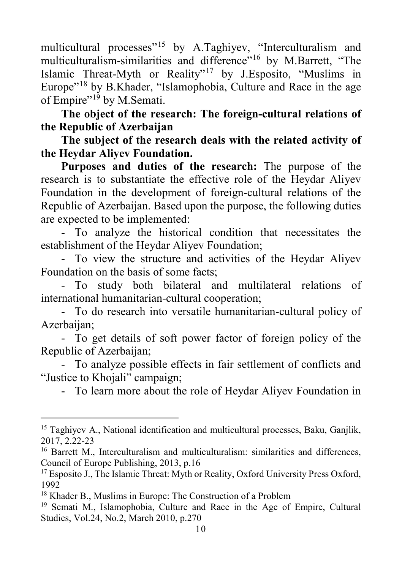multicultural processes<sup>"[15](#page-9-0)</sup> by A.Taghiyev, "Interculturalism and multiculturalism-similarities and difference"<sup>[16](#page-9-1)</sup> by M.Barrett, "The Islamic Threat-Myth or Reality"[17](#page-9-2) by J.Esposito, "Muslims in Europe"[18](#page-9-3) by B.Khader, "Islamophobia, Culture and Race in the age of Empire"<sup>[19](#page-9-4)</sup> by M.Semati.

**The object of the research: The foreign-cultural relations of the Republic of Azerbaijan** 

**The subject of the research deals with the related activity of the Heydar Aliyev Foundation.** 

**Purposes and duties of the research:** The purpose of the research is to substantiate the effective role of the Heydar Aliyev Foundation in the development of foreign-cultural relations of the Republic of Azerbaijan. Based upon the purpose, the following duties are expected to be implemented:

- To analyze the historical condition that necessitates the establishment of the Heydar Aliyev Foundation;

- To view the structure and activities of the Heydar Aliyev Foundation on the basis of some facts;

- To study both bilateral and multilateral relations of international humanitarian-cultural cooperation;

- To do research into versatile humanitarian-cultural policy of Azerbaijan;

- To get details of soft power factor of foreign policy of the Republic of Azerbaijan;

- To analyze possible effects in fair settlement of conflicts and "Justice to Khojali" campaign;

- To learn more about the role of Heydar Aliyev Foundation in

<span id="page-9-0"></span><sup>&</sup>lt;sup>15</sup> Taghiyev A., National identification and multicultural processes, Baku, Ganjlik, 2017, 2.22-23

<span id="page-9-1"></span><sup>&</sup>lt;sup>16</sup> Barrett M., Interculturalism and multiculturalism: similarities and differences, Council of Europe Publishing, 2013, p.16

<span id="page-9-2"></span><sup>&</sup>lt;sup>17</sup> Esposito J., The Islamic Threat: Myth or Reality, Oxford University Press Oxford, 1992

<span id="page-9-3"></span><sup>18</sup> Khader B., Muslims in Europe: The Construction of a Problem

<span id="page-9-4"></span><sup>19</sup> Semati M., Islamophobia, Culture and Race in the Age of Empire, Cultural Studies, Vol.24, No.2, March 2010, p.270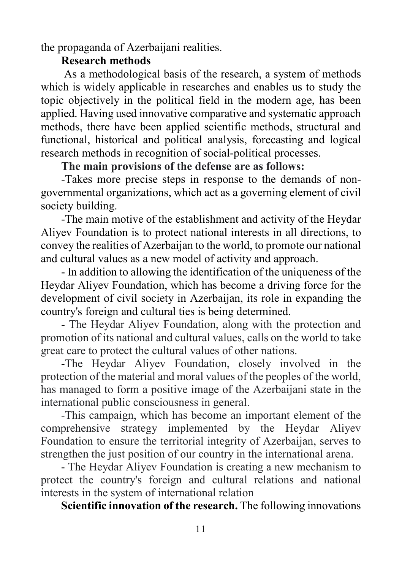the propaganda of Azerbaijani realities.

### **Research methods**

As a methodological basis of the research, a system of methods which is widely applicable in researches and enables us to study the topic objectively in the political field in the modern age, has been applied. Having used innovative comparative and systematic approach methods, there have been applied scientific methods, structural and functional, historical and political analysis, forecasting and logical research methods in recognition of social-political processes.

### **The main provisions of the defense are as follows:**

-Takes more precise steps in response to the demands of nongovernmental organizations, which act as a governing element of civil society building.

-The main motive of the establishment and activity of the Heydar Aliyev Foundation is to protect national interests in all directions, to convey the realities of Azerbaijan to the world, to promote our national and cultural values as a new model of activity and approach.

- In addition to allowing the identification of the uniqueness of the Heydar Aliyev Foundation, which has become a driving force for the development of civil society in Azerbaijan, its role in expanding the country's foreign and cultural ties is being determined.

- The Heydar Aliyev Foundation, along with the protection and promotion of its national and cultural values, calls on the world to take great care to protect the cultural values of other nations.

-The Heydar Aliyev Foundation, closely involved in the protection of the material and moral values of the peoples of the world, has managed to form a positive image of the Azerbaijani state in the international public consciousness in general.

-This campaign, which has become an important element of the comprehensive strategy implemented by the Heydar Aliyev Foundation to ensure the territorial integrity of Azerbaijan, serves to strengthen the just position of our country in the international arena.

- The Heydar Aliyev Foundation is creating a new mechanism to protect the country's foreign and cultural relations and national interests in the system of international relation

**Scientific innovation of the research.** The following innovations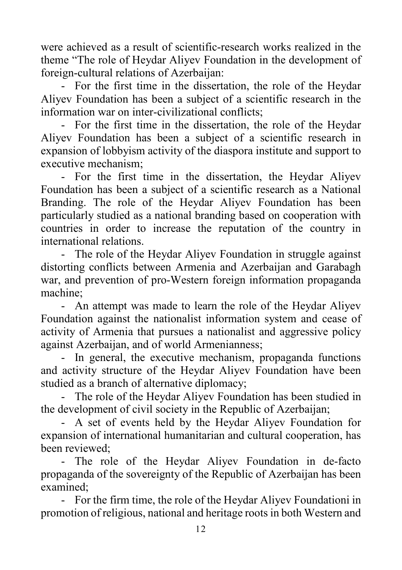were achieved as a result of scientific-research works realized in the theme "The role of Heydar Aliyev Foundation in the development of foreign-cultural relations of Azerbaijan:

- For the first time in the dissertation, the role of the Heydar Aliyev Foundation has been a subject of a scientific research in the information war on inter-civilizational conflicts;

- For the first time in the dissertation, the role of the Heydar Aliyev Foundation has been a subject of a scientific research in expansion of lobbyism activity of the diaspora institute and support to executive mechanism;

- For the first time in the dissertation, the Heydar Aliyev Foundation has been a subject of a scientific research as a National Branding. The role of the Heydar Aliyev Foundation has been particularly studied as a national branding based on cooperation with countries in order to increase the reputation of the country in international relations.

The role of the Heydar Aliyev Foundation in struggle against distorting conflicts between Armenia and Azerbaijan and Garabagh war, and prevention of pro-Western foreign information propaganda machine;

- An attempt was made to learn the role of the Heydar Aliyev Foundation against the nationalist information system and cease of activity of Armenia that pursues a nationalist and aggressive policy against Azerbaijan, and of world Armenianness;

- In general, the executive mechanism, propaganda functions and activity structure of the Heydar Aliyev Foundation have been studied as a branch of alternative diplomacy;

- The role of the Heydar Aliyev Foundation has been studied in the development of civil society in the Republic of Azerbaijan;

- A set of events held by the Heydar Aliyev Foundation for expansion of international humanitarian and cultural cooperation, has been reviewed;

- The role of the Heydar Aliyev Foundation in de-facto propaganda of the sovereignty of the Republic of Azerbaijan has been examined;

- For the firm time, the role of the Heydar Aliyev Foundationi in promotion of religious, national and heritage roots in both Western and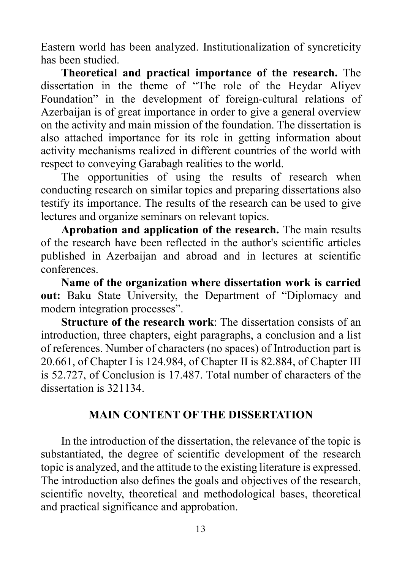Eastern world has been analyzed. Institutionalization of syncreticity has been studied.

**Theoretical and practical importance of the research.** The dissertation in the theme of "The role of the Heydar Aliyev Foundation" in the development of foreign-cultural relations of Azerbaijan is of great importance in order to give a general overview on the activity and main mission of the foundation. The dissertation is also attached importance for its role in getting information about activity mechanisms realized in different countries of the world with respect to conveying Garabagh realities to the world.

The opportunities of using the results of research when conducting research on similar topics and preparing dissertations also testify its importance. The results of the research can be used to give lectures and organize seminars on relevant topics.

**Aprobation and application of the research.** The main results of the research have been reflected in the author's scientific articles published in Azerbaijan and abroad and in lectures at scientific conferences.

**Name of the organization where dissertation work is carried out:** Baku State University, the Department of "Diplomacy and modern integration processes".

**Structure of the research work**: The dissertation consists of an introduction, three chapters, eight paragraphs, a conclusion and a list of references. Number of characters (no spaces) of Introduction part is 20.661, of Chapter I is 124.984, of Chapter II is 82.884, of Chapter III is 52.727, of Conclusion is 17.487. Total number of characters of the dissertation is 321134.

### **MAIN CONTENT OF THE DISSERTATION**

In the introduction of the dissertation, the relevance of the topic is substantiated, the degree of scientific development of the research topic is analyzed, and the attitude to the existing literature is expressed. The introduction also defines the goals and objectives of the research, scientific novelty, theoretical and methodological bases, theoretical and practical significance and approbation.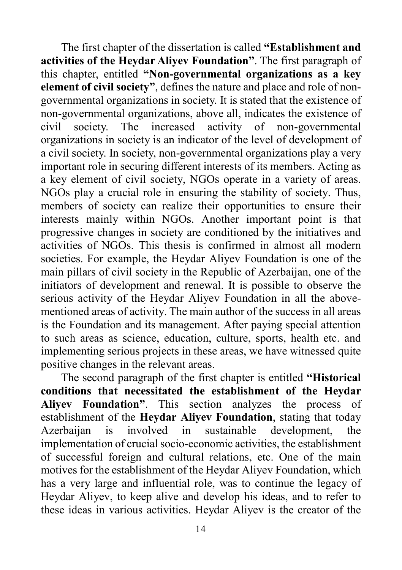The first chapter of the dissertation is called **"Establishment and activities of the Heydar Aliyev Foundation"**. The first paragraph of this chapter, entitled **"Non-governmental organizations as a key element of civil society"**, defines the nature and place and role of nongovernmental organizations in society. It is stated that the existence of non-governmental organizations, above all, indicates the existence of civil society. The increased activity of non-governmental organizations in society is an indicator of the level of development of a civil society. In society, non-governmental organizations play a very important role in securing different interests of its members. Acting as a key element of civil society, NGOs operate in a variety of areas. NGOs play a crucial role in ensuring the stability of society. Thus, members of society can realize their opportunities to ensure their interests mainly within NGOs. Another important point is that progressive changes in society are conditioned by the initiatives and activities of NGOs. This thesis is confirmed in almost all modern societies. For example, the Heydar Aliyev Foundation is one of the main pillars of civil society in the Republic of Azerbaijan, one of the initiators of development and renewal. It is possible to observe the serious activity of the Heydar Aliyev Foundation in all the abovementioned areas of activity. The main author of the success in all areas is the Foundation and its management. After paying special attention to such areas as science, education, culture, sports, health etc. and implementing serious projects in these areas, we have witnessed quite positive changes in the relevant areas.

The second paragraph of the first chapter is entitled **"Historical conditions that necessitated the establishment of the Heydar Aliyev Foundation"**. This section analyzes the process of establishment of the **Heydar Aliyev Foundation**, stating that today Azerbaijan is involved in sustainable development, the implementation of crucial socio-economic activities, the establishment of successful foreign and cultural relations, etc. One of the main motives for the establishment of the Heydar Aliyev Foundation, which has a very large and influential role, was to continue the legacy of Heydar Aliyev, to keep alive and develop his ideas, and to refer to these ideas in various activities. Heydar Aliyev is the creator of the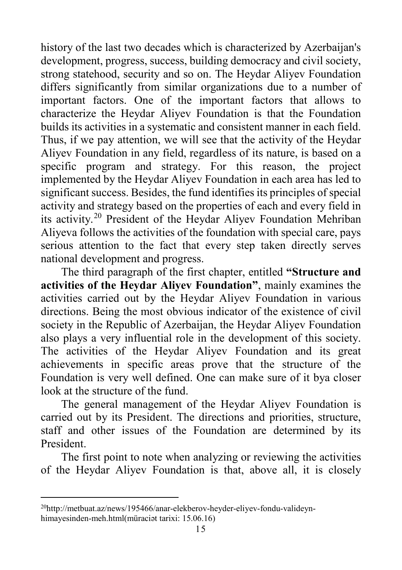history of the last two decades which is characterized by Azerbaijan's development, progress, success, building democracy and civil society, strong statehood, security and so on. The Heydar Aliyev Foundation differs significantly from similar organizations due to a number of important factors. One of the important factors that allows to characterize the Heydar Aliyev Foundation is that the Foundation builds its activities in a systematic and consistent manner in each field. Thus, if we pay attention, we will see that the activity of the Heydar Aliyev Foundation in any field, regardless of its nature, is based on a specific program and strategy. For this reason, the project implemented by the Heydar Aliyev Foundation in each area has led to significant success. Besides, the fund identifies its principles of special activity and strategy based on the properties of each and every field in its activity. [20](#page-14-0) President of the Heydar Aliyev Foundation Mehriban Aliyeva follows the activities of the foundation with special care, pays serious attention to the fact that every step taken directly serves national development and progress.

The third paragraph of the first chapter, entitled **"Structure and activities of the Heydar Aliyev Foundation"**, mainly examines the activities carried out by the Heydar Aliyev Foundation in various directions. Being the most obvious indicator of the existence of civil society in the Republic of Azerbaijan, the Heydar Aliyev Foundation also plays a very influential role in the development of this society. The activities of the Heydar Aliyev Foundation and its great achievements in specific areas prove that the structure of the Foundation is very well defined. One can make sure of it bya closer look at the structure of the fund.

The general management of the Heydar Aliyev Foundation is carried out by its President. The directions and priorities, structure, staff and other issues of the Foundation are determined by its President.

The first point to note when analyzing or reviewing the activities of the Heydar Aliyev Foundation is that, above all, it is closely

<span id="page-14-0"></span> <sup>20</sup>http://metbuat.az/news/195466/anar-elekberov-heyder-eliyev-fondu-valideynhimayesinden-meh.html(müraciət tarixi: 15.06.16)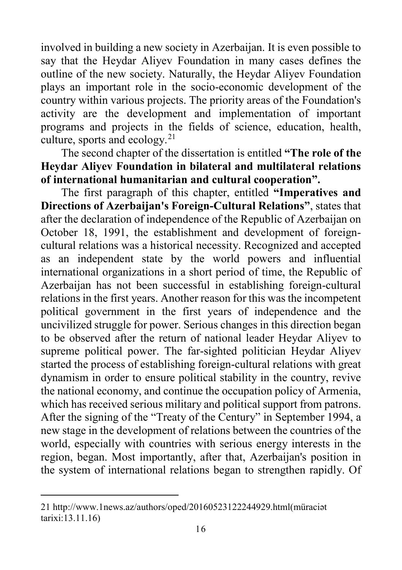involved in building a new society in Azerbaijan. It is even possible to say that the Heydar Aliyev Foundation in many cases defines the outline of the new society. Naturally, the Heydar Aliyev Foundation plays an important role in the socio-economic development of the country within various projects. The priority areas of the Foundation's activity are the development and implementation of important programs and projects in the fields of science, education, health, culture, sports and ecology. $2<sup>1</sup>$ 

The second chapter of the dissertation is entitled **"The role of the Heydar Aliyev Foundation in bilateral and multilateral relations of international humanitarian and cultural cooperation".**

The first paragraph of this chapter, entitled **"Imperatives and Directions of Azerbaijan's Foreign-Cultural Relations"**, states that after the declaration of independence of the Republic of Azerbaijan on October 18, 1991, the establishment and development of foreigncultural relations was a historical necessity. Recognized and accepted as an independent state by the world powers and influential international organizations in a short period of time, the Republic of Azerbaijan has not been successful in establishing foreign-cultural relations in the first years. Another reason for this was the incompetent political government in the first years of independence and the uncivilized struggle for power. Serious changes in this direction began to be observed after the return of national leader Heydar Aliyev to supreme political power. The far-sighted politician Heydar Aliyev started the process of establishing foreign-cultural relations with great dynamism in order to ensure political stability in the country, revive the national economy, and continue the occupation policy of Armenia, which has received serious military and political support from patrons. After the signing of the "Treaty of the Century" in September 1994, a new stage in the development of relations between the countries of the world, especially with countries with serious energy interests in the region, began. Most importantly, after that, Azerbaijan's position in the system of international relations began to strengthen rapidly. Of

<span id="page-15-0"></span> <sup>21</sup> http://www.1news.az/authors/oped/20160523122244929.html(müraciə<sup>t</sup> tarixi:13.11.16)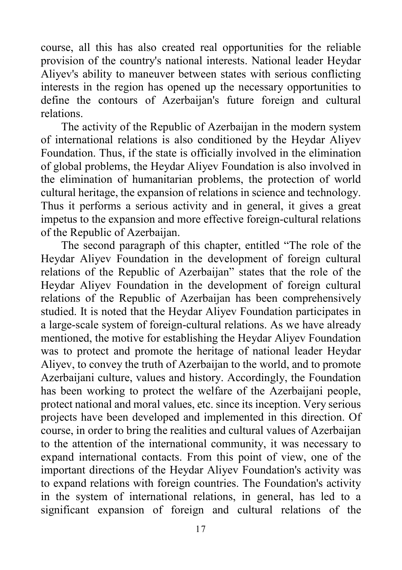course, all this has also created real opportunities for the reliable provision of the country's national interests. National leader Heydar Aliyev's ability to maneuver between states with serious conflicting interests in the region has opened up the necessary opportunities to define the contours of Azerbaijan's future foreign and cultural relations.

The activity of the Republic of Azerbaijan in the modern system of international relations is also conditioned by the Heydar Aliyev Foundation. Thus, if the state is officially involved in the elimination of global problems, the Heydar Aliyev Foundation is also involved in the elimination of humanitarian problems, the protection of world cultural heritage, the expansion of relations in science and technology. Thus it performs a serious activity and in general, it gives a great impetus to the expansion and more effective foreign-cultural relations of the Republic of Azerbaijan.

The second paragraph of this chapter, entitled "The role of the Heydar Aliyev Foundation in the development of foreign cultural relations of the Republic of Azerbaijan" states that the role of the Heydar Aliyev Foundation in the development of foreign cultural relations of the Republic of Azerbaijan has been comprehensively studied. It is noted that the Heydar Aliyev Foundation participates in a large-scale system of foreign-cultural relations. As we have already mentioned, the motive for establishing the Heydar Aliyev Foundation was to protect and promote the heritage of national leader Heydar Aliyev, to convey the truth of Azerbaijan to the world, and to promote Azerbaijani culture, values and history. Accordingly, the Foundation has been working to protect the welfare of the Azerbaijani people, protect national and moral values, etc. since its inception. Very serious projects have been developed and implemented in this direction. Of course, in order to bring the realities and cultural values of Azerbaijan to the attention of the international community, it was necessary to expand international contacts. From this point of view, one of the important directions of the Heydar Aliyev Foundation's activity was to expand relations with foreign countries. The Foundation's activity in the system of international relations, in general, has led to a significant expansion of foreign and cultural relations of the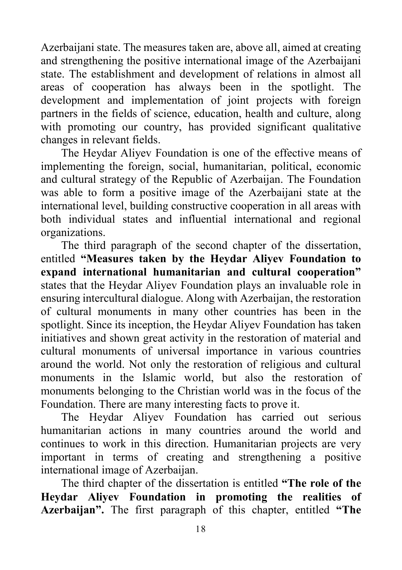Azerbaijani state. The measures taken are, above all, aimed at creating and strengthening the positive international image of the Azerbaijani state. The establishment and development of relations in almost all areas of cooperation has always been in the spotlight. The development and implementation of joint projects with foreign partners in the fields of science, education, health and culture, along with promoting our country, has provided significant qualitative changes in relevant fields.

The Heydar Aliyev Foundation is one of the effective means of implementing the foreign, social, humanitarian, political, economic and cultural strategy of the Republic of Azerbaijan. The Foundation was able to form a positive image of the Azerbaijani state at the international level, building constructive cooperation in all areas with both individual states and influential international and regional organizations.

The third paragraph of the second chapter of the dissertation, entitled **"Measures taken by the Heydar Aliyev Foundation to expand international humanitarian and cultural cooperation"**  states that the Heydar Aliyev Foundation plays an invaluable role in ensuring intercultural dialogue. Along with Azerbaijan, the restoration of cultural monuments in many other countries has been in the spotlight. Since its inception, the Heydar Aliyev Foundation has taken initiatives and shown great activity in the restoration of material and cultural monuments of universal importance in various countries around the world. Not only the restoration of religious and cultural monuments in the Islamic world, but also the restoration of monuments belonging to the Christian world was in the focus of the Foundation. There are many interesting facts to prove it.

The Heydar Aliyev Foundation has carried out serious humanitarian actions in many countries around the world and continues to work in this direction. Humanitarian projects are very important in terms of creating and strengthening a positive international image of Azerbaijan.

The third chapter of the dissertation is entitled **"The role of the Heydar Aliyev Foundation in promoting the realities of Azerbaijan".** The first paragraph of this chapter, entitled **"The**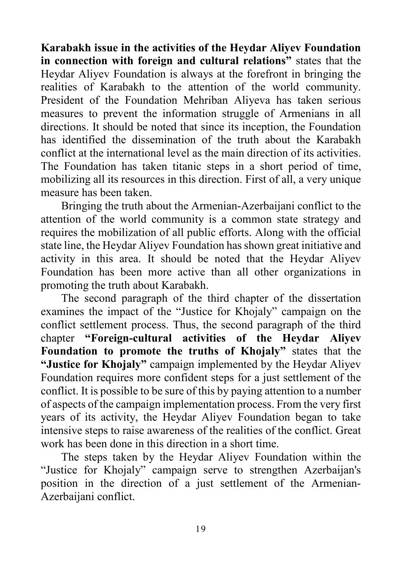**Karabakh issue in the activities of the Heydar Aliyev Foundation in connection with foreign and cultural relations"** states that the Heydar Aliyev Foundation is always at the forefront in bringing the realities of Karabakh to the attention of the world community. President of the Foundation Mehriban Aliyeva has taken serious measures to prevent the information struggle of Armenians in all directions. It should be noted that since its inception, the Foundation has identified the dissemination of the truth about the Karabakh conflict at the international level as the main direction of its activities. The Foundation has taken titanic steps in a short period of time, mobilizing all its resources in this direction. First of all, a very unique measure has been taken.

Bringing the truth about the Armenian-Azerbaijani conflict to the attention of the world community is a common state strategy and requires the mobilization of all public efforts. Along with the official state line, the Heydar Aliyev Foundation has shown great initiative and activity in this area. It should be noted that the Heydar Aliyev Foundation has been more active than all other organizations in promoting the truth about Karabakh.

The second paragraph of the third chapter of the dissertation examines the impact of the "Justice for Khojaly" campaign on the conflict settlement process. Thus, the second paragraph of the third chapter **"Foreign-cultural activities of the Heydar Aliyev Foundation to promote the truths of Khojaly"** states that the **"Justice for Khojaly"** campaign implemented by the Heydar Aliyev Foundation requires more confident steps for a just settlement of the conflict. It is possible to be sure of this by paying attention to a number of aspects of the campaign implementation process. From the very first years of its activity, the Heydar Aliyev Foundation began to take intensive steps to raise awareness of the realities of the conflict. Great work has been done in this direction in a short time.

The steps taken by the Heydar Aliyev Foundation within the "Justice for Khojaly" campaign serve to strengthen Azerbaijan's position in the direction of a just settlement of the Armenian-Azerbaijani conflict.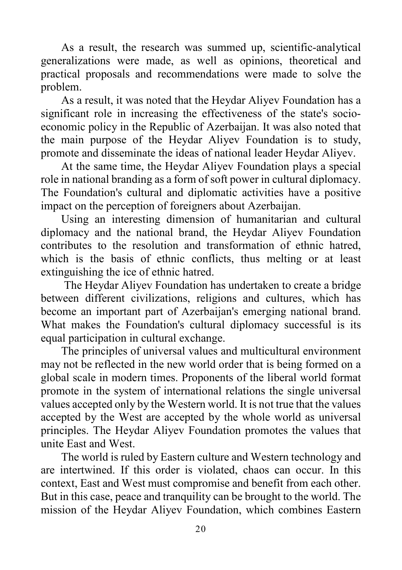As a result, the research was summed up, scientific-analytical generalizations were made, as well as opinions, theoretical and practical proposals and recommendations were made to solve the problem.

As a result, it was noted that the Heydar Aliyev Foundation has a significant role in increasing the effectiveness of the state's socioeconomic policy in the Republic of Azerbaijan. It was also noted that the main purpose of the Heydar Aliyev Foundation is to study, promote and disseminate the ideas of national leader Heydar Aliyev.

At the same time, the Heydar Aliyev Foundation plays a special role in national branding as a form of soft power in cultural diplomacy. The Foundation's cultural and diplomatic activities have a positive impact on the perception of foreigners about Azerbaijan.

Using an interesting dimension of humanitarian and cultural diplomacy and the national brand, the Heydar Aliyev Foundation contributes to the resolution and transformation of ethnic hatred, which is the basis of ethnic conflicts, thus melting or at least extinguishing the ice of ethnic hatred.

The Heydar Aliyev Foundation has undertaken to create a bridge between different civilizations, religions and cultures, which has become an important part of Azerbaijan's emerging national brand. What makes the Foundation's cultural diplomacy successful is its equal participation in cultural exchange.

The principles of universal values and multicultural environment may not be reflected in the new world order that is being formed on a global scale in modern times. Proponents of the liberal world format promote in the system of international relations the single universal values accepted only by the Western world. It is not true that the values accepted by the West are accepted by the whole world as universal principles. The Heydar Aliyev Foundation promotes the values that unite East and West.

The world is ruled by Eastern culture and Western technology and are intertwined. If this order is violated, chaos can occur. In this context, East and West must compromise and benefit from each other. But in this case, peace and tranquility can be brought to the world. The mission of the Heydar Aliyev Foundation, which combines Eastern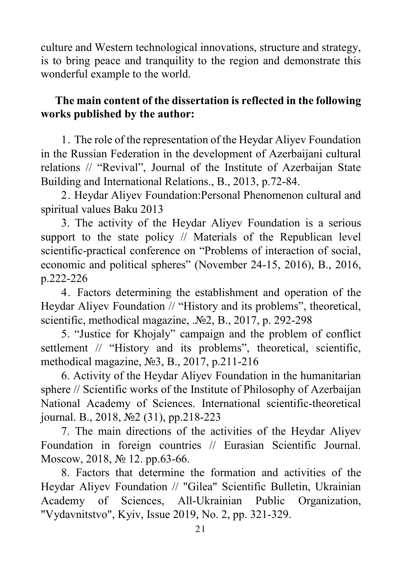culture and Western technological innovations, structure and strategy, is to bring peace and tranquility to the region and demonstrate this wonderful example to the world.

### **The main content of the dissertation is reflected in the following works published by the author:**

1. The role of the representation of the Heydar Aliyev Foundation in the Russian Federation in the development of Azerbaijani cultural relations // "Revival", Journal of the Institute of Azerbaijan State Building and International Relations., B., 2013, p.72-84.

2. Heydar Aliyev Foundation:Personal Phenomenon cultural and spiritual values Baku 2013

3. The activity of the Heydar Aliyev Foundation is a serious support to the state policy // Materials of the Republican level scientific-practical conference on "Problems of interaction of social, economic and political spheres" (November 24-15, 2016), B., 2016, p.222-226

4. Factors determining the establishment and operation of the Heydar Aliyev Foundation // "History and its problems", theoretical, scientific, methodical magazine, .№2, B., 2017, p. 292-298

5. "Justice for Khojaly" campaign and the problem of conflict settlement // "History and its problems", theoretical, scientific, methodical magazine, №3, B., 2017, p.211-216

6. Activity of the Heydar Aliyev Foundation in the humanitarian sphere // Scientific works of the Institute of Philosophy of Azerbaijan National Academy of Sciences. International scientific-theoretical journal. B., 2018, №2 (31), pp.218-223

7. The main directions of the activities of the Heydar Aliyev Foundation in foreign countries // Eurasian Scientific Journal. Moscow, 2018, № 12. pp.63-66.

8. Factors that determine the formation and activities of the Heydar Aliyev Foundation // "Gilea" Scientific Bulletin, Ukrainian Academy of Sciences, All-Ukrainian Public Organization, "Vydavnitstvo", Kyiv, Issue 2019, No. 2, pp. 321-329.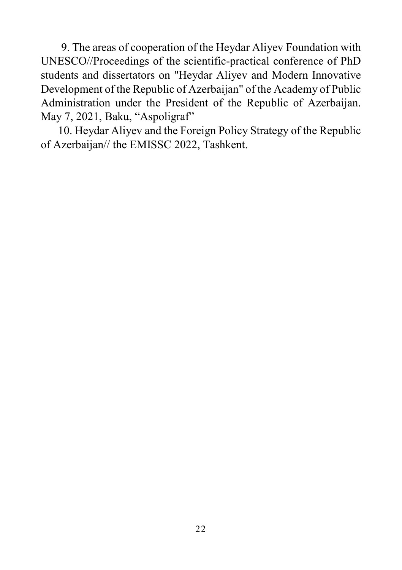9. The areas of cooperation of the Heydar Aliyev Foundation with UNESCO//Proceedings of the scientific-practical conference of PhD students and dissertators on "Heydar Aliyev and Modern Innovative Development of the Republic of Azerbaijan" of the Academy of Public Administration under the President of the Republic of Azerbaijan. May 7, 2021, Baku, "Aspoligraf"

 10. Heydar Aliyev and the Foreign Policy Strategy of the Republic of Azerbaijan// the EMISSC 2022, Tashkent.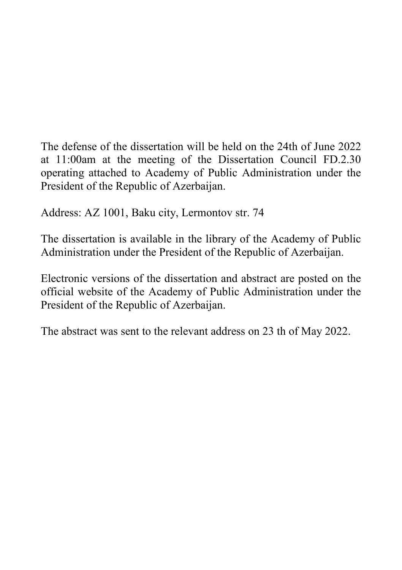The defense of the dissertation will be held on the 24th of June 2022 at 11:00am at the meeting of the Dissertation Council FD.2.30 operating attached to Academy of Public Administration under the President of the Republic of Azerbaijan.

Address: AZ 1001, Baku city, Lermontov str. 74

The dissertation is available in the library of the Academy of Public Administration under the President of the Republic of Azerbaijan.

Electronic versions of the dissertation and abstract are posted on the official website of the Academy of Public Administration under the President of the Republic of Azerbaijan.

The abstract was sent to the relevant address on 23 th of May 2022.